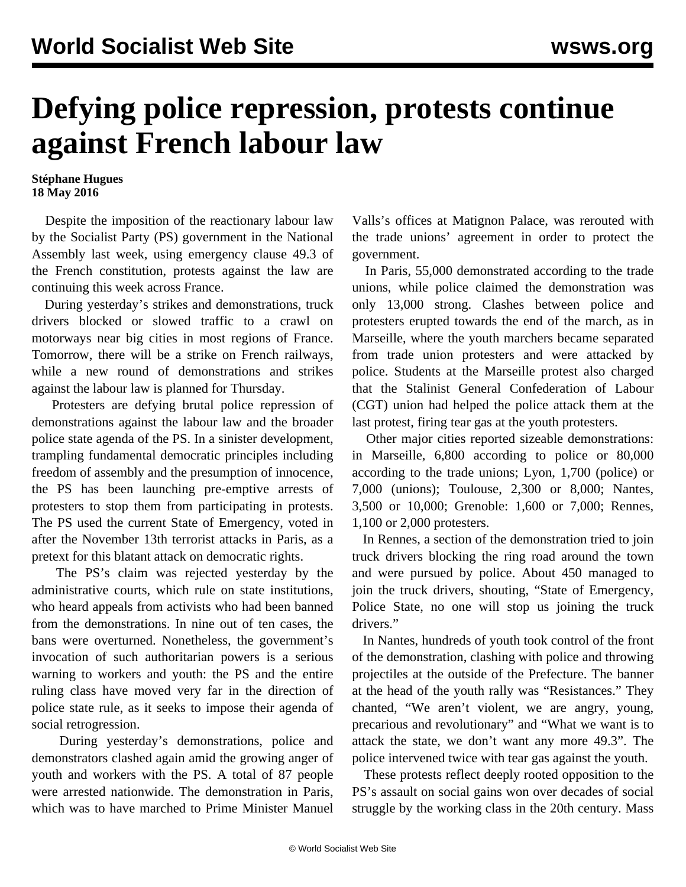## **Defying police repression, protests continue against French labour law**

## **Stéphane Hugues 18 May 2016**

 Despite the imposition of the reactionary labour law by the Socialist Party (PS) government in the National Assembly last week, using emergency clause 49.3 of the French constitution, protests against the law are continuing this week across France.

 During yesterday's strikes and demonstrations, truck drivers blocked or slowed traffic to a crawl on motorways near big cities in most regions of France. Tomorrow, there will be a strike on French railways, while a new round of demonstrations and strikes against the labour law is planned for Thursday.

 Protesters are defying brutal police repression of demonstrations against the labour law and the broader police state agenda of the PS. In a sinister development, trampling fundamental democratic principles including freedom of assembly and the presumption of innocence, the PS has been launching pre-emptive arrests of protesters to stop them from participating in protests. The PS used the current State of Emergency, voted in after the November 13th terrorist attacks in Paris, as a pretext for this blatant attack on democratic rights.

 The PS's claim was rejected yesterday by the administrative courts, which rule on state institutions, who heard appeals from activists who had been banned from the demonstrations. In nine out of ten cases, the bans were overturned. Nonetheless, the government's invocation of such authoritarian powers is a serious warning to workers and youth: the PS and the entire ruling class have moved very far in the direction of police state rule, as it seeks to impose their agenda of social retrogression.

 During yesterday's demonstrations, police and demonstrators clashed again amid the growing anger of youth and workers with the PS. A total of 87 people were arrested nationwide. The demonstration in Paris, which was to have marched to Prime Minister Manuel

Valls's offices at Matignon Palace, was rerouted with the trade unions' agreement in order to protect the government.

 In Paris, 55,000 demonstrated according to the trade unions, while police claimed the demonstration was only 13,000 strong. Clashes between police and protesters erupted towards the end of the march, as in Marseille, where the youth marchers became separated from trade union protesters and were attacked by police. Students at the Marseille protest also charged that the Stalinist General Confederation of Labour (CGT) union had helped the police attack them at the last protest, firing tear gas at the youth protesters.

 Other major cities reported sizeable demonstrations: in Marseille, 6,800 according to police or 80,000 according to the trade unions; Lyon, 1,700 (police) or 7,000 (unions); Toulouse, 2,300 or 8,000; Nantes, 3,500 or 10,000; Grenoble: 1,600 or 7,000; Rennes, 1,100 or 2,000 protesters.

 In Rennes, a section of the demonstration tried to join truck drivers blocking the ring road around the town and were pursued by police. About 450 managed to join the truck drivers, shouting, "State of Emergency, Police State, no one will stop us joining the truck drivers."

 In Nantes, hundreds of youth took control of the front of the demonstration, clashing with police and throwing projectiles at the outside of the Prefecture. The banner at the head of the youth rally was "Resistances." They chanted, "We aren't violent, we are angry, young, precarious and revolutionary" and "What we want is to attack the state, we don't want any more 49.3". The police intervened twice with tear gas against the youth.

 These protests reflect deeply rooted opposition to the PS's assault on social gains won over decades of social struggle by the working class in the 20th century. Mass